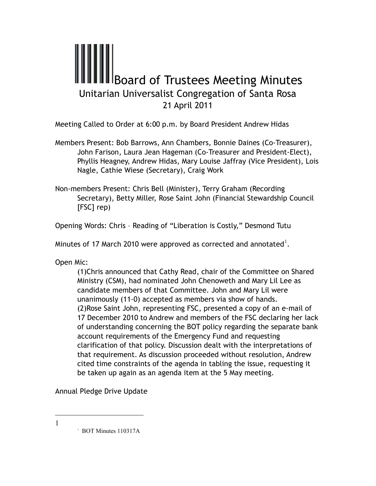## **III**Board of Trustees Meeting Minutes Unitarian Universalist Congregation of Santa Rosa 21 April 2011

Meeting Called to Order at 6:00 p.m. by Board President Andrew Hidas

- Members Present: Bob Barrows, Ann Chambers, Bonnie Daines (Co-Treasurer), John Farison, Laura Jean Hageman (Co-Treasurer and President-Elect), Phyllis Heagney, Andrew Hidas, Mary Louise Jaffray (Vice President), Lois Nagle, Cathie Wiese (Secretary), Craig Work
- Non-members Present: Chris Bell (Minister), Terry Graham (Recording Secretary), Betty Miller, Rose Saint John (Financial Stewardship Council [FSC] rep)

Opening Words: Chris – Reading of "Liberation is Costly," Desmond Tutu

Minutes of 17 March 2010 were approved as corrected and annotated $^{\text{l}}$ .

Open Mic:

(1)Chris announced that Cathy Read, chair of the Committee on Shared Ministry (CSM), had nominated John Chenoweth and Mary Lil Lee as candidate members of that Committee. John and Mary Lil were unanimously (11-0) accepted as members via show of hands. (2)Rose Saint John, representing FSC, presented a copy of an e-mail of 17 December 2010 to Andrew and members of the FSC declaring her lack of understanding concerning the BOT policy regarding the separate bank account requirements of the Emergency Fund and requesting clarification of that policy. Discussion dealt with the interpretations of that requirement. As discussion proceeded without resolution, Andrew cited time constraints of the agenda in tabling the issue, requesting it be taken up again as an agenda item at the 5 May meeting.

Annual Pledge Drive Update

<sup>1</sup> **BOT Minutes 110317A**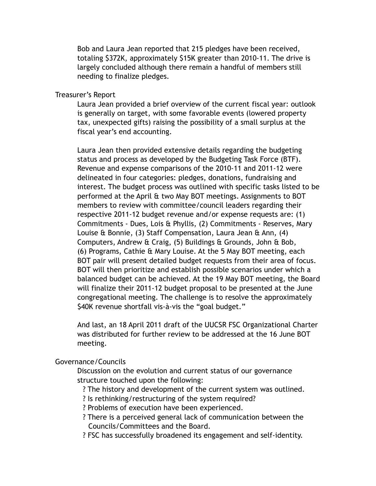Bob and Laura Jean reported that 215 pledges have been received, totaling \$372K, approximately \$15K greater than 2010-11. The drive is largely concluded although there remain a handful of members still needing to finalize pledges.

## Treasurer's Report

 Laura Jean provided a brief overview of the current fiscal year: outlook is generally on target, with some favorable events (lowered property tax, unexpected gifts) raising the possibility of a small surplus at the fiscal year's end accounting.

Laura Jean then provided extensive details regarding the budgeting status and process as developed by the Budgeting Task Force (BTF). Revenue and expense comparisons of the 2010-11 and 2011-12 were delineated in four categories: pledges, donations, fundraising and interest. The budget process was outlined with specific tasks listed to be performed at the April & two May BOT meetings. Assignments to BOT members to review with committee/council leaders regarding their respective 2011-12 budget revenue and/or expense requests are: (1) Commitments - Dues, Lois & Phyllis, (2) Commitments - Reserves, Mary Louise & Bonnie, (3) Staff Compensation, Laura Jean & Ann, (4) Computers, Andrew & Craig, (5) Buildings & Grounds, John & Bob, (6) Programs, Cathie & Mary Louise. At the 5 May BOT meeting, each BOT pair will present detailed budget requests from their area of focus. BOT will then prioritize and establish possible scenarios under which a balanced budget can be achieved. At the 19 May BOT meeting, the Board will finalize their 2011-12 budget proposal to be presented at the June congregational meeting. The challenge is to resolve the approximately \$40K revenue shortfall vis-à-vis the "goal budget."

And last, an 18 April 2011 draft of the UUCSR FSC Organizational Charter was distributed for further review to be addressed at the 16 June BOT meeting.

## Governance/Councils

 Discussion on the evolution and current status of our governance structure touched upon the following:

? The history and development of the current system was outlined.

- ? Is rethinking/restructuring of the system required?
- ? Problems of execution have been experienced.
- ? There is a perceived general lack of communication between the Councils/Committees and the Board.
- ? FSC has successfully broadened its engagement and self-identity.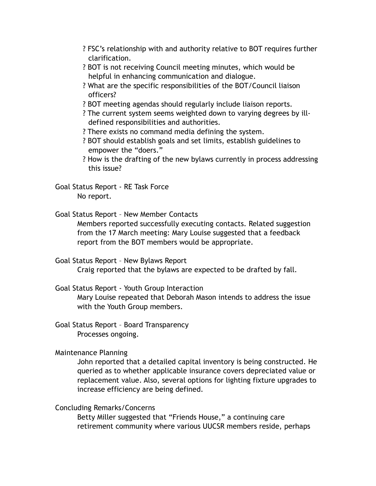- ? FSC's relationship with and authority relative to BOT requires further clarification.
- ? BOT is not receiving Council meeting minutes, which would be helpful in enhancing communication and dialogue.
- ? What are the specific responsibilities of the BOT/Council liaison officers?
- ? BOT meeting agendas should regularly include liaison reports.
- ? The current system seems weighted down to varying degrees by illdefined responsibilities and authorities.
- ? There exists no command media defining the system.
- ? BOT should establish goals and set limits, establish guidelines to empower the "doers."
- ? How is the drafting of the new bylaws currently in process addressing this issue?

Goal Status Report - RE Task Force No report.

Goal Status Report – New Member Contacts

Members reported successfully executing contacts. Related suggestion from the 17 March meeting: Mary Louise suggested that a feedback report from the BOT members would be appropriate.

Goal Status Report – New Bylaws Report

Craig reported that the bylaws are expected to be drafted by fall.

Goal Status Report - Youth Group Interaction

Mary Louise repeated that Deborah Mason intends to address the issue with the Youth Group members.

Goal Status Report – Board Transparency Processes ongoing.

Maintenance Planning

John reported that a detailed capital inventory is being constructed. He queried as to whether applicable insurance covers depreciated value or replacement value. Also, several options for lighting fixture upgrades to increase efficiency are being defined.

Concluding Remarks/Concerns

Betty Miller suggested that "Friends House," a continuing care retirement community where various UUCSR members reside, perhaps